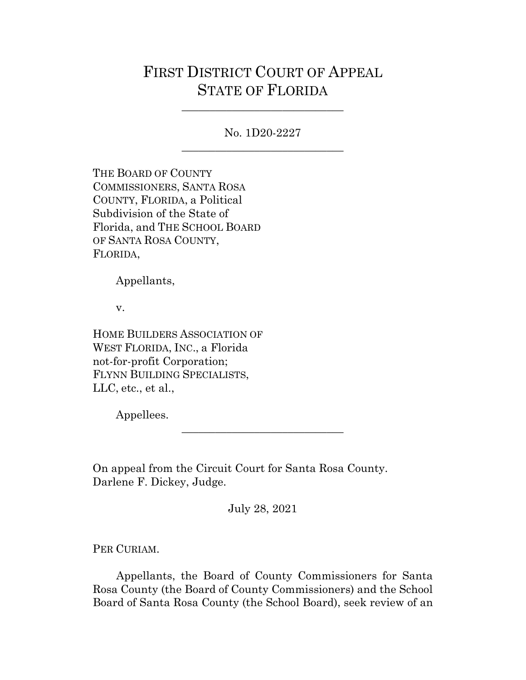## FIRST DISTRICT COURT OF APPEAL STATE OF FLORIDA

No. 1D20-2227 \_\_\_\_\_\_\_\_\_\_\_\_\_\_\_\_\_\_\_\_\_\_\_\_\_\_\_\_\_

\_\_\_\_\_\_\_\_\_\_\_\_\_\_\_\_\_\_\_\_\_\_\_\_\_\_\_\_\_

THE BOARD OF COUNTY COMMISSIONERS, SANTA ROSA COUNTY, FLORIDA, a Political Subdivision of the State of Florida, and THE SCHOOL BOARD OF SANTA ROSA COUNTY, FLORIDA,

Appellants,

v.

HOME BUILDERS ASSOCIATION OF WEST FLORIDA, INC., a Florida not-for-profit Corporation; FLYNN BUILDING SPECIALISTS, LLC, etc., et al.,

Appellees.

On appeal from the Circuit Court for Santa Rosa County. Darlene F. Dickey, Judge.

July 28, 2021

\_\_\_\_\_\_\_\_\_\_\_\_\_\_\_\_\_\_\_\_\_\_\_\_\_\_\_\_\_

PER CURIAM.

Appellants, the Board of County Commissioners for Santa Rosa County (the Board of County Commissioners) and the School Board of Santa Rosa County (the School Board), seek review of an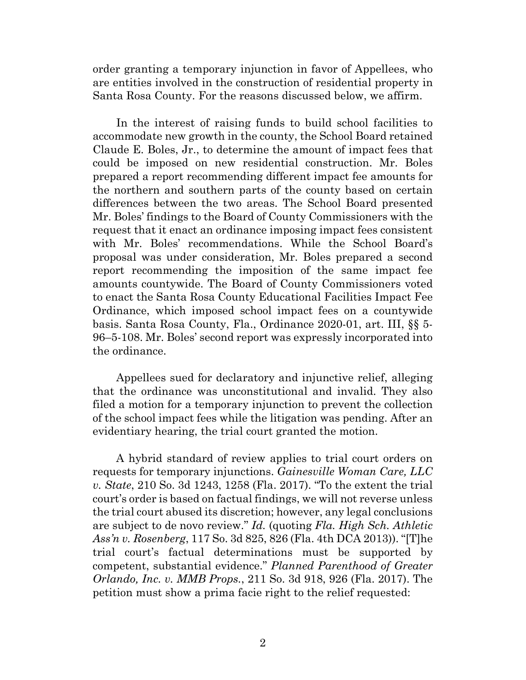order granting a temporary injunction in favor of Appellees, who are entities involved in the construction of residential property in Santa Rosa County. For the reasons discussed below, we affirm.

In the interest of raising funds to build school facilities to accommodate new growth in the county, the School Board retained Claude E. Boles, Jr., to determine the amount of impact fees that could be imposed on new residential construction. Mr. Boles prepared a report recommending different impact fee amounts for the northern and southern parts of the county based on certain differences between the two areas. The School Board presented Mr. Boles' findings to the Board of County Commissioners with the request that it enact an ordinance imposing impact fees consistent with Mr. Boles' recommendations. While the School Board's proposal was under consideration, Mr. Boles prepared a second report recommending the imposition of the same impact fee amounts countywide. The Board of County Commissioners voted to enact the Santa Rosa County Educational Facilities Impact Fee Ordinance, which imposed school impact fees on a countywide basis. Santa Rosa County, Fla., Ordinance 2020-01, art. III, §§ 5- 96–5-108. Mr. Boles' second report was expressly incorporated into the ordinance.

Appellees sued for declaratory and injunctive relief, alleging that the ordinance was unconstitutional and invalid. They also filed a motion for a temporary injunction to prevent the collection of the school impact fees while the litigation was pending. After an evidentiary hearing, the trial court granted the motion.

A hybrid standard of review applies to trial court orders on requests for temporary injunctions. *Gainesville Woman Care, LLC v. State*, 210 So. 3d 1243, 1258 (Fla. 2017). "To the extent the trial court's order is based on factual findings, we will not reverse unless the trial court abused its discretion; however, any legal conclusions are subject to de novo review." *Id.* (quoting *Fla. High Sch. Athletic Ass'n v. Rosenberg*, 117 So. 3d 825, 826 (Fla. 4th DCA 2013)). "[T]he trial court's factual determinations must be supported by competent, substantial evidence." *Planned Parenthood of Greater Orlando, Inc. v. MMB Props.*, 211 So. 3d 918, 926 (Fla. 2017). The petition must show a prima facie right to the relief requested: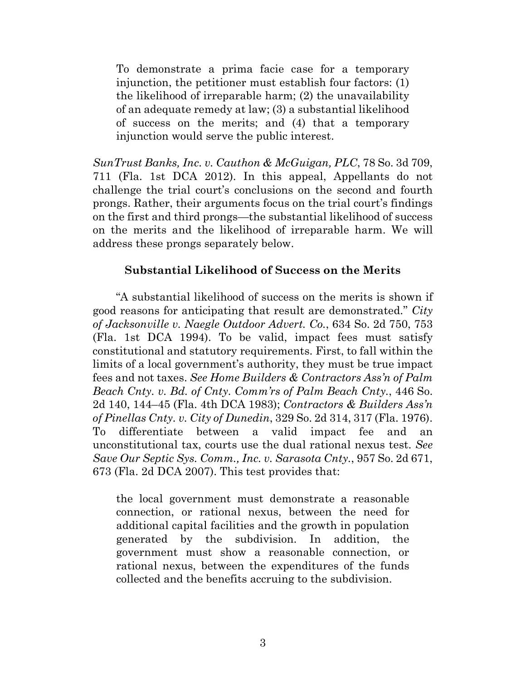To demonstrate a prima facie case for a temporary injunction, the petitioner must establish four factors: (1) the likelihood of irreparable harm; (2) the unavailability of an adequate remedy at law; (3) a substantial likelihood of success on the merits; and (4) that a temporary injunction would serve the public interest.

*SunTrust Banks, Inc. v. Cauthon & McGuigan, PLC*, 78 So. 3d 709, 711 (Fla. 1st DCA 2012). In this appeal, Appellants do not challenge the trial court's conclusions on the second and fourth prongs. Rather, their arguments focus on the trial court's findings on the first and third prongs—the substantial likelihood of success on the merits and the likelihood of irreparable harm. We will address these prongs separately below.

## **Substantial Likelihood of Success on the Merits**

"A substantial likelihood of success on the merits is shown if good reasons for anticipating that result are demonstrated." *City of Jacksonville v. Naegle Outdoor Advert. Co.*, 634 So. 2d 750, 753 (Fla. 1st DCA 1994). To be valid, impact fees must satisfy constitutional and statutory requirements. First, to fall within the limits of a local government's authority, they must be true impact fees and not taxes. *See Home Builders & Contractors Ass'n of Palm Beach Cnty. v. Bd. of Cnty. Comm'rs of Palm Beach Cnty.*, 446 So. 2d 140, 144–45 (Fla. 4th DCA 1983); *Contractors & Builders Ass'n of Pinellas Cnty. v. City of Dunedin*, 329 So. 2d 314, 317 (Fla. 1976). To differentiate between a valid impact fee and an unconstitutional tax, courts use the dual rational nexus test. *See Save Our Septic Sys. Comm., Inc. v. Sarasota Cnty.*, 957 So. 2d 671, 673 (Fla. 2d DCA 2007). This test provides that:

the local government must demonstrate a reasonable connection, or rational nexus, between the need for additional capital facilities and the growth in population generated by the subdivision. In addition, the government must show a reasonable connection, or rational nexus, between the expenditures of the funds collected and the benefits accruing to the subdivision.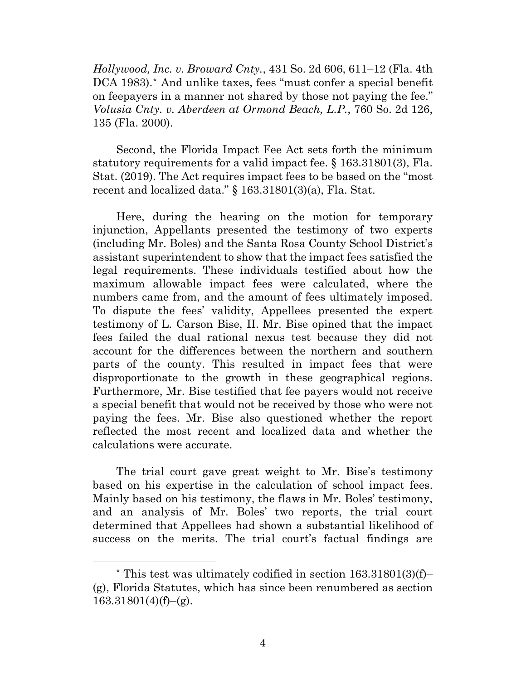*Hollywood, Inc. v. Broward Cnty.*, 431 So. 2d 606, 611–12 (Fla. 4th DCA 1983).*[\\*](#page-3-0)* And unlike taxes, fees "must confer a special benefit on feepayers in a manner not shared by those not paying the fee." *Volusia Cnty. v. Aberdeen at Ormond Beach, L.P.*, 760 So. 2d 126, 135 (Fla. 2000).

Second, the Florida Impact Fee Act sets forth the minimum statutory requirements for a valid impact fee. § 163.31801(3), Fla. Stat. (2019). The Act requires impact fees to be based on the "most recent and localized data." § 163.31801(3)(a), Fla. Stat.

Here, during the hearing on the motion for temporary injunction, Appellants presented the testimony of two experts (including Mr. Boles) and the Santa Rosa County School District's assistant superintendent to show that the impact fees satisfied the legal requirements. These individuals testified about how the maximum allowable impact fees were calculated, where the numbers came from, and the amount of fees ultimately imposed. To dispute the fees' validity, Appellees presented the expert testimony of L. Carson Bise, II. Mr. Bise opined that the impact fees failed the dual rational nexus test because they did not account for the differences between the northern and southern parts of the county. This resulted in impact fees that were disproportionate to the growth in these geographical regions. Furthermore, Mr. Bise testified that fee payers would not receive a special benefit that would not be received by those who were not paying the fees. Mr. Bise also questioned whether the report reflected the most recent and localized data and whether the calculations were accurate.

The trial court gave great weight to Mr. Bise's testimony based on his expertise in the calculation of school impact fees. Mainly based on his testimony, the flaws in Mr. Boles' testimony, and an analysis of Mr. Boles' two reports, the trial court determined that Appellees had shown a substantial likelihood of success on the merits. The trial court's factual findings are

<span id="page-3-0"></span><sup>\*</sup> This test was ultimately codified in section 163.31801(3)(f)– (g), Florida Statutes, which has since been renumbered as section  $163.31801(4)(f)$ –(g).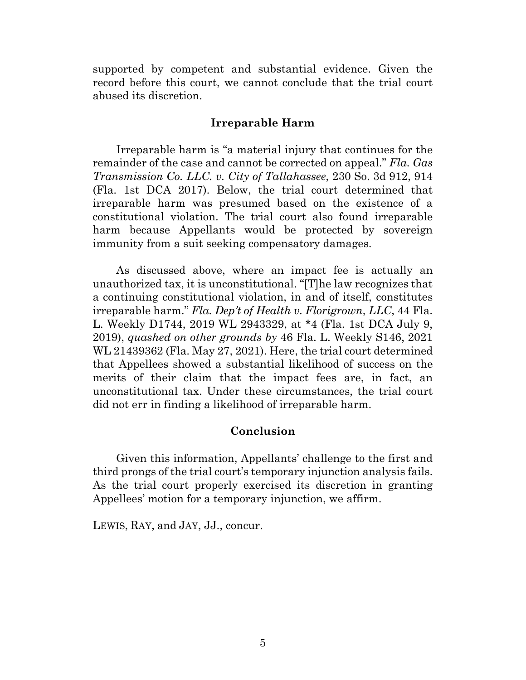supported by competent and substantial evidence. Given the record before this court, we cannot conclude that the trial court abused its discretion.

## **Irreparable Harm**

Irreparable harm is "a material injury that continues for the remainder of the case and cannot be corrected on appeal." *Fla. Gas Transmission Co. LLC. v. City of Tallahassee*, 230 So. 3d 912, 914 (Fla. 1st DCA 2017). Below, the trial court determined that irreparable harm was presumed based on the existence of a constitutional violation. The trial court also found irreparable harm because Appellants would be protected by sovereign immunity from a suit seeking compensatory damages.

As discussed above, where an impact fee is actually an unauthorized tax, it is unconstitutional. "[T]he law recognizes that a continuing constitutional violation, in and of itself, constitutes irreparable harm." *Fla. Dep't of Health v. Florigrown*, *LLC*, 44 Fla. L. Weekly D1744, 2019 WL 2943329, at \*4 (Fla. 1st DCA July 9, 2019), *quashed on other grounds by* 46 Fla. L. Weekly S146, 2021 WL 21439362 (Fla. May 27, 2021). Here, the trial court determined that Appellees showed a substantial likelihood of success on the merits of their claim that the impact fees are, in fact, an unconstitutional tax. Under these circumstances, the trial court did not err in finding a likelihood of irreparable harm.

## **Conclusion**

Given this information, Appellants' challenge to the first and third prongs of the trial court's temporary injunction analysis fails. As the trial court properly exercised its discretion in granting Appellees' motion for a temporary injunction, we affirm.

LEWIS, RAY, and JAY, JJ., concur.